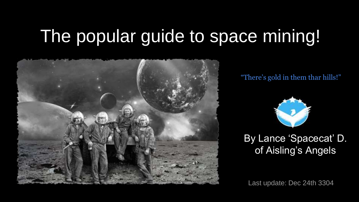# The popular guide to space mining!



"There's gold in them thar hills!"



#### By Lance 'Spacecat' D. of Aisling's Angels

Last update: Dec 24th 3304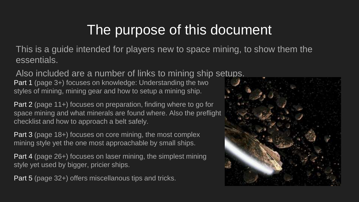## The purpose of this document

This is a guide intended for players new to space mining, to show them the essentials.

Also included are a number of links to mining ship setups.

Part 1 (page 3+) focuses on knowledge: Understanding the two styles of mining, mining gear and how to setup a mining ship.

Part 2 (page 11+) focuses on preparation, finding where to go for space mining and what minerals are found where. Also the preflight checklist and how to approach a belt safely.

Part 3 (page 18+) focuses on core mining, the most complex mining style yet the one most approachable by small ships.

Part 4 (page 26+) focuses on laser mining, the simplest mining style yet used by bigger, pricier ships.

Part 5 (page 32+) offers miscellanous tips and tricks.

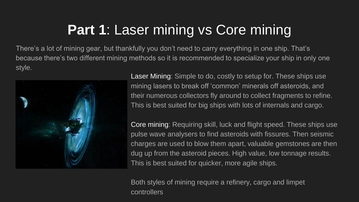## **Part 1: Laser mining vs Core mining**

There's a lot of mining gear, but thankfully you don't need to carry everything in one ship. That's because there's two different mining methods so it is recommended to specialize your ship in only one style.



Laser Mining: Simple to do, costly to setup for. These ships use mining lasers to break off 'common' minerals off asteroids, and their numerous collectors fly around to collect fragments to refine. This is best suited for big ships with lots of internals and cargo.

Core mining: Requiring skill, luck and flight speed. These ships use pulse wave analysers to find asteroids with fissures. Then seismic charges are used to blow them apart, valuable gemstones are then dug up from the asteroid pieces. High value, low tonnage results. This is best suited for quicker, more agile ships.

Both styles of mining require a refinery, cargo and limpet controllers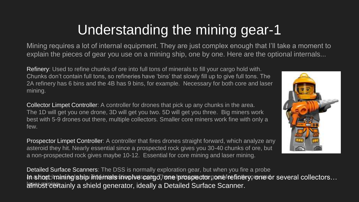## Understanding the mining gear-1

Mining requires a lot of internal equipment. They are just complex enough that I'll take a moment to explain the pieces of gear you use on a mining ship, one by one. Here are the optional internals...

Refinery: Used to refine chunks of ore into full tons of minerals to fill your cargo hold with. Chunks don't contain full tons, so refineries have 'bins' that slowly fill up to give full tons. The 2A refinery has 6 bins and the 4B has 9 bins, for example. Necessary for both core and laser mining.

Collector Limpet Controller: A controller for drones that pick up any chunks in the area. The 1D will get you one drone, 3D will get you two. 5D will get you three. Big miners work best with 5-9 drones out there, multiple collectors. Smaller core miners work fine with only a few.

Prospector Limpet Controller: A controller that fires drones straight forward, which analyze any asteroid they hit. Nearly essential since a prospected rock gives you 30-40 chunks of ore, but a non-prospected rock gives maybe 10-12. Essential for core mining and laser mining.

Detailed Surface Scanners: The DSS is normally exploration gear, but when you fire a probe h short: mining ship internals involve cargo, one prospector gone foe finery, one or several collectors… amost certainly a shield generator, ideally a Detailed Surface Scanner.

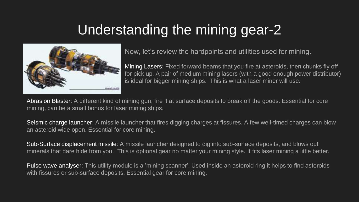## Understanding the mining gear-2



Now, let's review the hardpoints and utilities used for mining.

Mining Lasers: Fixed forward beams that you fire at asteroids, then chunks fly off for pick up. A pair of medium mining lasers (with a good enough power distributor) is ideal for bigger mining ships. This is what a laser miner will use.

Abrasion Blaster: A different kind of mining gun, fire it at surface deposits to break off the goods. Essential for core mining, can be a small bonus for laser mining ships.

Seismic charge launcher: A missile launcher that fires digging charges at fissures. A few well-timed charges can blow an asteroid wide open. Essential for core mining.

Sub-Surface displacement missile: A missile launcher designed to dig into sub-surface deposits, and blows out minerals that dare hide from you. This is optional gear no matter your mining style. It fits laser mining a little better.

Pulse wave analyser: This utility module is a 'mining scanner'. Used inside an asteroid ring it helps to find asteroids with fissures or sub-surface deposits. Essential gear for core mining.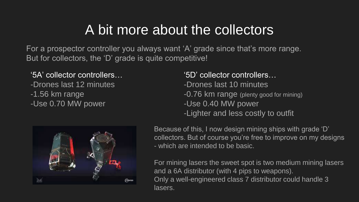### A bit more about the collectors

For a prospector controller you always want 'A' grade since that's more range. But for collectors, the 'D' grade is quite competitive!

#### '5A' collector controllers…

- -Drones last 12 minutes
- -1.56 km range
- -Use 0.70 MW power

#### '5D' collector controllers…

- -Drones last 10 minutes
- -0.76 km range (plenty good for mining)
- -Use 0.40 MW power
- -Lighter and less costly to outfit



Because of this, I now design mining ships with grade 'D' collectors. But of course you're free to improve on my designs - which are intended to be basic.

For mining lasers the sweet spot is two medium mining lasers and a 6A distributor (with 4 pips to weapons). Only a well-engineered class 7 distributor could handle 3 lasers.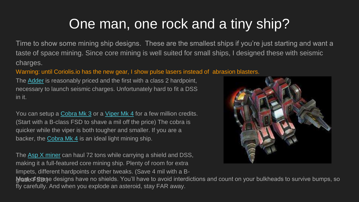#### One man, one rock and a tiny ship?

Time to show some mining ship designs. These are the smallest ships if you're just starting and want a taste of space mining. Since core mining is well suited for small ships, I designed these with seismic charges.

#### Warning: until Coriolis.io has the new gear, I show pulse lasers instead of abrasion blasters.

The [Adder](https://coriolis.io/outfit/adder?code=A2p5t8F5l3d5sdf33M17-2x-02C7011mP4.Iw1%2BkA%3D%3D.MwBjIRjAmWrYig%3D%3D..EweloBhAOGQUwIYHMA28QgIwVyKBQA%3D%3D&bn=mining Adder) is reasonably priced and the first with a class 2 hardpoint, necessary to launch seismic charges. Unfortunately hard to fit a DSS in it.

You can setup a [Cobra Mk 3](https://coriolis.io/outfit/cobra_mk_iii?code=A2p5tdFalddcsdf4173M--2x-0303C72i1mP4.Iw1/kA%3D%3D.MwBjIRgsCYR6ZTGEA%3D%3D%3D..EweloBhBGA2EDMoCmBDA5gG2SGF8hRFA&bn=mining cobra) or a [Viper Mk 4](https://coriolis.io/outfit/viper_mk_iv?code=A2p7tdFal8dcsdf4-3M17-2x-0303C7292i1mP4.Iw18UA%3D%3D.MwBjIRnAmbLkpHCA..EweloBhBGA2EDMoCmBDA5gG2SGF8hRFA&bn=Mining Viper IV) for a few million credits. (Start with a B-class FSD to shave a mil off the price) The cobra is quicker while the viper is both tougher and smaller. If you are a backer, the Cobra Mk  $4$  is an ideal light mining ship.

The [Asp X miner](https://coriolis.io/outfit/asp?code=A0patiFflidhsnf5-3M17---2x---054d021rC7P42i.Iw18WQ%3D%3D.Aw18WQ%3D%3D..EweloBhBmVoDhAUwIYHMA2SQgIwQJCmKA%3D%3D%3D) can haul 72 tons while carrying a shield and DSS, making it a full-featured core mining ship. Plenty of room for extra limpets, different hardpoints or other tweaks. (Save 4 mil with a B-



Mate of these designs have no shields. You'll have to avoid interdictions and count on your bulkheads to survive bumps, so fly carefully. And when you explode an asteroid, stay FAR away.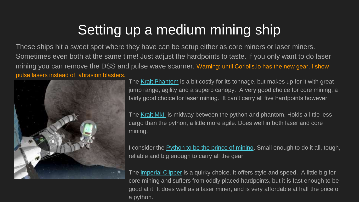## Setting up a medium mining ship

These ships hit a sweet spot where they have can be setup either as core miners or laser miners. Sometimes even both at the same time! Just adjust the hardpoints to taste. If you only want to do laser mining you can remove the DSS and pulse wave scanner. Warning: until Coriolis.io has the new gear, I show pulse lasers instead of abrasion blasters.



The [Krait Phantom](https://coriolis.io/outfit/krait_phantom?code=A0pktnFflidpssf53M172m2m2x0404040504CbCb401qP92i.Iw18aQ%3D%3D.Aw18aQ%3D%3D..EweloBhBmBGA6A7CAnANhAUwIYHMA2mIIsEZIUlQA%3D%3D%3D) is a bit costly for its tonnage, but makes up for it with great jump range, agility and a superb canopy. A very good choice for core mining, a fairly good choice for laser mining. It can't carry all five hardpoints however.

The [Krait MkII](https://coriolis.io/outfit/krait_mkii?code=A0pktnFflidpssf5-3M172m2m2x0404040505CbCb1vP9432i.Iw18WQ%3D%3D.Aw18WQ%3D%3D..EweloBhBmUDYAsICmBDA5gG2SEBGCQkKEoA%3D) is midway between the python and phantom, Holds a little less cargo than the python, a little more agile. Does well in both laser and core mining.

I consider the [Python to be the prince of mining.](https://coriolis.io/outfit/python?code=A0pktnFflidpssf5173M-2m2m2x040404050505CbCb1v40P92i.Iw18eQ%3D%3D.EwBjYRhYZj6mWEZA..EweloBhBmUEYCcoCmBDA5gG2SEcIEhTFA%3D%3D%3D&bn=mining python) Small enough to do it all, tough, reliable and big enough to carry all the gear.

The [imperial Clipper](https://coriolis.io/outfit/imperial_clipper?code=A0pktnFfln1Bsnf43M172m2m2x04040406Cb1v0340C7P42i.Iw18aQ%3D%3D.Aw18aQ%3D%3D..EweloBhBGA2HgA4QFMCGBzANikMIEhTFA%3D%3D%3D&bn=mining clipper) is a quirky choice. It offers style and speed. A little big for core mining and suffers from oddly placed hardpoints, but it is fast enough to be good at it. It does well as a laser miner, and is very affordable at half the price of a python.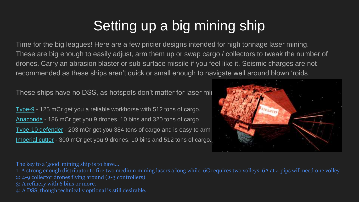# Setting up a big mining ship

Time for the big leagues! Here are a few pricier designs intended for high tonnage laser mining. These are big enough to easily adjust, arm them up or swap cargo / collectors to tweak the number of drones. Carry an abrasion blaster or sub-surface missile if you feel like it. Seismic charges are not recommended as these ships aren't quick or small enough to navigate well around blown 'roids.

These ships have no DSS, as hotspots don't matter for laser mir

[Type-9](https://coriolis.io/outfit/type_9_heavy?code=A0pktsFklndpsif62m2m---040404030706064aCb1vC7C7P92i.Iw18RQ%3D%3D.EwBjIRgllMqmYFapEA%3D%3D..EweloBhA2AWEDMAOeBTAhgcwDapCARgmJCjKA%3D%3D%3D&bn=mining type-9) - 125 mCr get you a reliable workhorse with 512 tons of cargo. [Anaconda](https://coriolis.io/outfit/anaconda?code=A0pktnFklndpsxf5----2m2m--060606060606060306050505CbCbCb2d45P91v2i.Iw18ZVA%3D.EwBj5YugWGEZFMReURqkA%3D%3D%3D..EweloBhBmVagpgQwOYBsEhARgnkUhQA%3D&bn=mining Conda) - 186 mCr get you 9 drones, 10 bins and 320 tons of cargo. [Type-10 defender](https://coriolis.io/outfit/type_10_defender?code=A0pktsFplndpsif6----2m2m---030606060606060607064iCb1vC7C7P92i2d2d.Iw18ZVA%3D.EwBj4llMEZ4fO0UyA%3D%3D%3D..EweloBhA2AWMCs0QFMCGBzANikICMERIUpQA&bn=mining type-10) - 203 mCr get you 384 tons of cargo and is easy to arm. [Imperial cutter](https://coriolis.io/outfit/imperial_cutter?code=A0prtsFplxdusCf6----2m2m2m030606060606060607074fCbCbCbPe2b2b1v2i.Iw18ZFA%3D.EwBjIRgkGZnhUlPMC8zyA%3D%3D%3D..EweloBhA2AWECsBGUBTAhgcwDapCJCIkKUoA&bn=mining cutter) - 300 mCr get you 9 drones, 10 bins and 512 tons of cargo.



The key to a 'good' mining ship is to have…

1: A strong enough distributor to fire two medium mining lasers a long while. 6C requires two volleys. 6A at 4 pips will need one volley 2: 4-9 collector drones flying around (2-3 controllers) 3: A refinery with 6 bins or more. 4: A DSS, though technically optional is still desirable.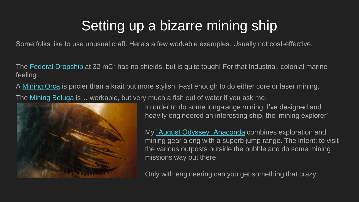## Setting up a bizarre mining ship

Some folks like to use unusual craft. Here's a few workable examples. Usually not cost-effective.

The [Federal Dropship](https://coriolis.io/outfit/federal_dropship?code=A1pitnFflndpsif4-2m2m--0300--0504CbC72b2bP91q2i.Iw18eQ%3D%3D.EwBjEZLZRKxLRMg%3D..EweloBhBGA2ECc8CmBDA5gG2SGF8hRFA&bn=Mining FDS) at 32 mCr has no shields, but is quite tough! For that Industrial, colonial marine feeling.

A [Mining Orca](https://coriolis.io/outfit/orca?code=A0patnFflsdksif5-2m2m----05044dCb1vC7P42i.Iw18SQ%3D%3D.EwBjYRnaYhmMQ%3D%3D%3D..EweloBhBmUE4BsICmBDA5gG2SEBGCQkKEoA%3D&bn=mining orca) is pricier than a krait but more stylish. Fast enough to do either core or laser mining.

The [Mining Beluga](https://coriolis.io/outfit/beluga?code=A0pftnFplCdpsnf72m2m---03070707070705050505Cb4a1vC7C7P92i.Iw18ZJA%3D.EwBjIRgllMqua5aqA%3D%3D%3D..EweloBhBGYA4zACwgKYEMDmAbVIYSEhQlA%3D%3D&bn=Mining Beluga) is… workable, but very much a fish out of water if you ask me.



In order to do some long-range mining, I've designed and heavily engineered an interesting ship, the 'mining explorer'.

My ["August Odyssey" Anaconda](https://coriolis.io/outfit/anaconda?code=A0patnFklndpsxf5----w1w1--00080803080808080605053c4dCbCb2bP91vC72i.Iw18ZVA%3D.EwRgDBLhHMlUUkBmEd0aA%3D%3D%3D.H4sIAAAAAAAAA02QMUsDQRCFJ3eXnOaMmzuScGiMmot2CkFBrEQrLQR7C1PZWSlYpbCwsPQnpPAfSAob/4AodiIoqIggKAoiKmafb5EN2eIxO/P2m50R7YtIJ03JneZFgqVXIGz%2BANHRoEit7IggpResqe9wQERtvQGltRxLji6ZkkdJdpVI0c%2BKFHwNqOVvQh5YiF8MxNVDFpI0O0DhPSTp6pOmFt/EM/wIPF03JpeiGmwSzT0BSOt5m%2B1PUbI7GZHohOG4uVbNdcJEkyZCRjdsJ7X3SMj5HRDfEDR9/UEt61Vbd86%2BgMwow2A9oP2Ag4SbjKJL8oZXfoHiFH9Xa3MijOh8F9zmniL3ntlKT/b2mVnFdhjTi3Yxatt4L8wk1X%2Bv153v2BASvWEJ9f0Km89y34D0nj/MVU/4qQEAAA%3D%3D.EweloBhBmcFYBsICmBDA5gG2SEBGCQkKEoA%3D&bn="August Odyssey" Mining explorer) combines exploration and mining gear along with a superb jump range. The intent: to visit the various outposts outside the bubble and do some mining missions way out there.

Only with engineering can you get something that crazy.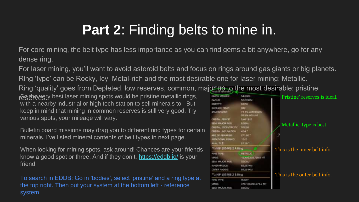## **Part 2: Finding belts to mine in.**

For core mining, the belt type has less importance as you can find gems a bit anywhere, go for any dense ring.

For laser mining, you'll want to avoid asteroid belts and focus on rings around gas giants or big planets. Ring 'type' can be Rocky, Icy, Metal-rich and the most desirable one for laser mining: Metallic.

Ring 'quality' goes from Depleted, low reserves, common, major up to the most desirable: pristine

resthe egry best laser mining spots would be pristine metallic rings, with a nearby industrial or high tech station to sell minerals to. But keep in mind that mining in common reserves is still very good. Try various spots, your mileage will vary.

Bulletin board missions may drag you to different ring types for certain minerals. I've listed mineral contents of belt types in next page.

When looking for mining spots, ask around! Chances are your friends know a good spot or three. And if they don't,<https://eddb.io/> is your friend.

To search in EDDB: Go in 'bodies', select 'pristine' and a ring type at the top right. Then put your system at the bottom left - reference system.

| <b>MITH MASSLES</b>       | <b>R.4. (in)(2) 6)</b>                      | 'Pristine' reserves is ideal. |
|---------------------------|---------------------------------------------|-------------------------------|
| <b>ADILIS</b>             | 52.27.9KM                                   |                               |
| <b>FUVITY</b>             | 自发地                                         |                               |
| LIFINGE TEMPE             | <b>BROK</b>                                 |                               |
| <b>TIMOSPHERE</b>         | <b>21.1% HYDROGEN</b><br><b>DESPETIELEM</b> |                               |
| <b>FIRSTAL PERIDES</b>    | <b>SASTA D</b>                              |                               |
| <b>ETAI MAJOR AKE</b>     | <b>BLOGALLI</b>                             | 'Metallic' type is best.      |
| WATAL ECCENTRICITY CLODGE |                                             |                               |
| <b>PSTAL NGLINATON.</b>   | 454 *                                       |                               |
| AIS OF PERMPILE.          | <b>J73.BO<sup>3</sup></b>                   |                               |
| <b>CITATIONAL PERICO</b>  | $+55$                                       |                               |
| <b>UGAL TILT:</b>         | 35.567                                      |                               |
| SHIP 105408 2 A Ring      |                                             | This is the inner belt info.  |
| <b>ING TYPE:</b>          | METALLIC                                    |                               |
| AASIR                     | 12 AUGUST THE U.S.                          |                               |
| EM MAJOR AKE              | <b>B.ODAU</b>                               |                               |
| <b>NNER RADIUS</b>        | <b>BE 25 FIGM</b>                           |                               |
| <b>MJTEN RADIUS</b>       | <b>IDS 25 YKW</b>                           |                               |
| HIP 105408 2 B Ring       |                                             | This is the outer belt info.  |
| <b>UNG TYPE</b>           | <b>RODEY</b>                                |                               |
| <b>MSS</b>                | 318,128,257,376.0.1/1                       |                               |
| FMI MAJOR AXIR            | <b>C.OOAU</b>                               |                               |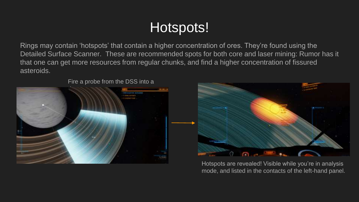## Hotspots!

Rings may contain 'hotspots' that contain a higher concentration of ores. They're found using the Detailed Surface Scanner. These are recommended spots for both core and laser mining: Rumor has it that one can get more resources from regular chunks, and find a higher concentration of fissured asteroids.

Fire a probe from the DSS into a





Hotspots are revealed! Visible while you're in analysis mode, and listed in the contacts of the left-hand panel.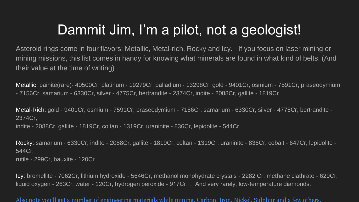## Dammit Jim, I'm a pilot, not a geologist!

Asteroid rings come in four flavors: Metallic, Metal-rich, Rocky and Icy. If you focus on laser mining or mining missions, this list comes in handy for knowing what minerals are found in what kind of belts. (And their value at the time of writing)

Metallic: painite(rare)- 40500Cr, platinum - 19279Cr, palladium - 13298Cr, gold - 9401Cr, osmium - 7591Cr, praseodymium - 7156Cr, samarium - 6330Cr, silver - 4775Cr, bertrandite - 2374Cr, indite - 2088Cr, gallite - 1819Cr

Metal-Rich: gold - 9401Cr, osmium - 7591Cr, praseodymium - 7156Cr, samarium - 6330Cr, silver - 4775Cr, bertrandite - 2374Cr, indite - 2088Cr, gallite - 1819Cr, coltan - 1319Cr, uraninite - 836Cr, lepidolite - 544Cr

Rocky: samarium - 6330Cr, indite - 2088Cr, gallite - 1819Cr, coltan - 1319Cr, uraninite - 836Cr, cobalt - 647Cr, lepidolite - 544Cr, rutile - 299Cr, bauxite - 120Cr

Icy: bromellite - 7062Cr, lithium hydroxide - 5646Cr, methanol monohydrate crystals - 2282 Cr, methane clathrate - 629Cr, liquid oxygen - 263Cr, water - 120Cr, hydrogen peroxide - 917Cr… And very rarely, low-temperature diamonds.

Also note you'll get a number of engineering materials while mining. Carbon, Iron, Nickel, Sulphur and a few others.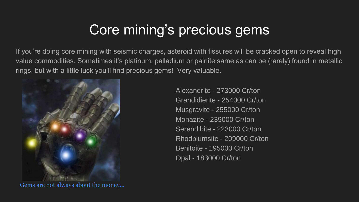## Core mining's precious gems

If you're doing core mining with seismic charges, asteroid with fissures will be cracked open to reveal high value commodities. Sometimes it's platinum, palladium or painite same as can be (rarely) found in metallic rings, but with a little luck you'll find precious gems! Very valuable.



Gems are not always about the money...

Alexandrite - 273000 Cr/ton Grandidierite - 254000 Cr/ton Musgravite - 255000 Cr/ton Monazite - 239000 Cr/ton Serendibite - 223000 Cr/ton Rhodplumsite - 209000 Cr/ton Benitoite - 195000 Cr/ton Opal - 183000 Cr/ton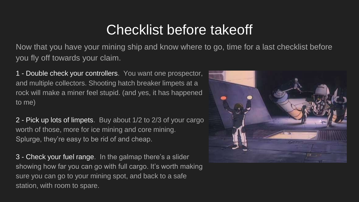#### Checklist before takeoff

Now that you have your mining ship and know where to go, time for a last checklist before you fly off towards your claim.

1 - Double check your controllers. You want one prospector, and multiple collectors. Shooting hatch breaker limpets at a rock will make a miner feel stupid. (and yes, it has happened to me)

2 - Pick up lots of limpets. Buy about 1/2 to 2/3 of your cargo worth of those, more for ice mining and core mining. Splurge, they're easy to be rid of and cheap.

3 - Check your fuel range. In the galmap there's a slider showing how far you can go with full cargo. It's worth making sure you can go to your mining spot, and back to a safe station, with room to spare.

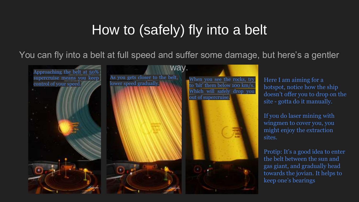### How to (safely) fly into a belt

You can fly into a belt at full speed and suffer some damage, but here's a gentler



Here I am aiming for a hotspot, notice how the ship doesn't offer you to drop on the site - gotta do it manually.

If you do laser mining with wingmen to cover you, you might enjoy the extraction sites.

Protip: It's a good idea to enter the belt between the sun and gas giant, and gradually head towards the jovian. It helps to keep one's bearings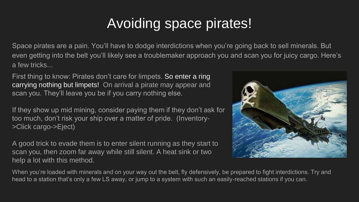## Avoiding space pirates!

Space pirates are a pain. You'll have to dodge interdictions when you're going back to sell minerals. But even getting into the belt you'll likely see a troublemaker approach you and scan you for juicy cargo. Here's a few tricks...

First thing to know: Pirates don't care for limpets. So enter a ring carrying nothing but limpets! On arrival a pirate may appear and scan you. They'll leave you be if you carry nothing else.

If they show up mid mining, consider paying them if they don't ask for too much, don't risk your ship over a matter of pride. (Inventory- >Click cargo->Eject)

A good trick to evade them is to enter silent running as they start to scan you, then zoom far away while still silent. A heat sink or two help a lot with this method.



When you're loaded with minerals and on your way out the belt, fly defensively, be prepared to fight interdictions. Try and head to a station that's only a few LS away, or jump to a system with such an easily-reached stations if you can.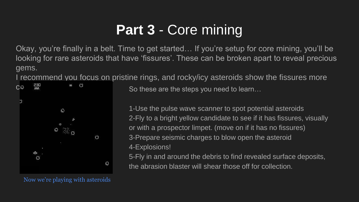## **Part 3** - Core mining

Okay, you're finally in a belt. Time to get started… If you're setup for core mining, you'll be looking for rare asteroids that have 'fissures'. These can be broken apart to reveal precious gems.

I recommend you focus on pristine rings, and rocky/icy asteroids show the fissures more



 $C\varnothing$  and  $\mathbb{R}^n$  are  $\mathbb{C}^n$  are So these are the steps you need to learn...

1-Use the pulse wave scanner to spot potential asteroids 2-Fly to a bright yellow candidate to see if it has fissures, visually or with a prospector limpet. (move on if it has no fissures) 3-Prepare seismic charges to blow open the asteroid 4-Explosions!

5-Fly in and around the debris to find revealed surface deposits, the abrasion blaster will shear those off for collection.

Now we're playing with asteroids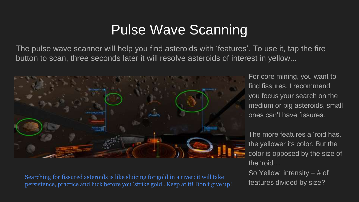#### Pulse Wave Scanning

The pulse wave scanner will help you find asteroids with 'features'. To use it, tap the fire button to scan, three seconds later it will resolve asteroids of interest in yellow...



Searching for fissured asteroids is like sluicing for gold in a river: it will take persistence, practice and luck before you 'strike gold'. Keep at it! Don't give up!

For core mining, you want to find fissures. I recommend you focus your search on the medium or big asteroids, small ones can't have fissures.

The more features a 'roid has, the yellower its color. But the color is opposed by the size of the 'roid…

So Yellow intensity  $=$  # of features divided by size?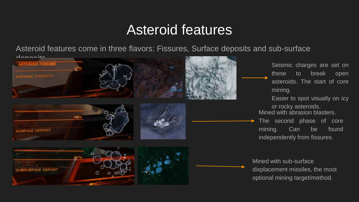#### Asteroid features

Asteroid features come in three flavors: Fissures, Surface deposits and sub-surface

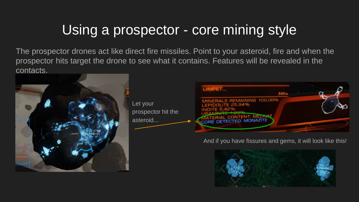## Using a prospector - core mining style

The prospector drones act like direct fire missiles. Point to your asteroid, fire and when the prospector hits target the drone to see what it contains. Features will be revealed in the contacts.



Let your prospector hit the asteroid...



#### And if you have fissures and gems, it will look like this!

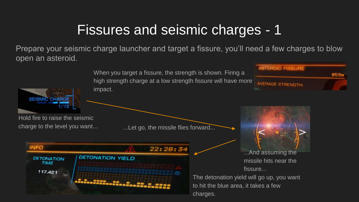#### Fissures and seismic charges - 1

Prepare your seismic charge launcher and target a fissure, you'll need a few charges to blow open an asteroid.

**ASTEROID FISSURI** When you target a fissure, the strength is shown. Firing a 859 high strength charge at a low strength fissure will have more **AVERAGE STRENGTH** impact. Hold fire to raise the seismic charge to the level you want... ...Let go, the missile flies forward...**INFO** 22:28:34 ...And assuming the **DETONATION YIELD DETONATION** missile hits near the **TIME** fissure...  $117.421$ The detonation yield will go up, you want to hit the blue area, it takes a few charges.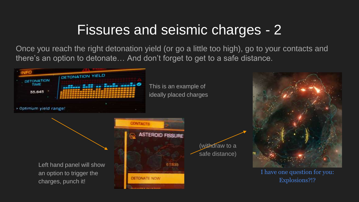#### Fissures and seismic charges - 2

Once you reach the right detonation yield (or go a little too high), go to your contacts and there's an option to detonate… And don't forget to get to a safe distance.

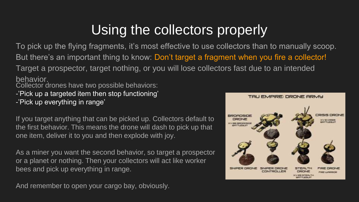## Using the collectors properly

To pick up the flying fragments, it's most effective to use collectors than to manually scoop. But there's an important thing to know: Don't target a fragment when you fire a collector! Target a prospector, target nothing, or you will lose collectors fast due to an intended behavior.

Collector drones have two possible behaviors:

- -'Pick up a targeted item then stop functioning'
- -'Pick up everything in range'

If you target anything that can be picked up. Collectors default to the first behavior. This means the drone will dash to pick up that one item, deliver it to you and then explode with joy.

As a miner you want the second behavior, so target a prospector or a planet or nothing. Then your collectors will act like worker bees and pick up everything in range.

And remember to open your cargo bay, obviously.

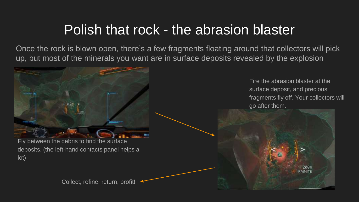#### Polish that rock - the abrasion blaster

Once the rock is blown open, there's a few fragments floating around that collectors will pick up, but most of the minerals you want are in surface deposits revealed by the explosion

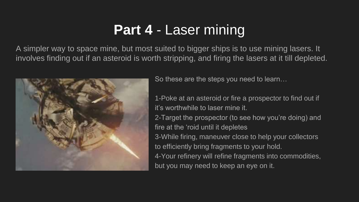## **Part 4** - Laser mining

A simpler way to space mine, but most suited to bigger ships is to use mining lasers. It involves finding out if an asteroid is worth stripping, and firing the lasers at it till depleted.



So these are the steps you need to learn…

1-Poke at an asteroid or fire a prospector to find out if it's worthwhile to laser mine it.

2-Target the prospector (to see how you're doing) and fire at the 'roid until it depletes 3-While firing, maneuver close to help your collectors

to efficiently bring fragments to your hold.

4-Your refinery will refine fragments into commodities, but you may need to keep an eye on it.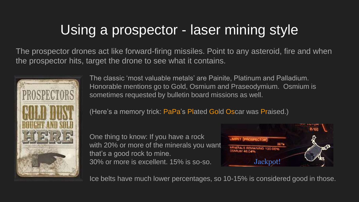## Using a prospector - laser mining style

The prospector drones act like forward-firing missiles. Point to any asteroid, fire and when the prospector hits, target the drone to see what it contains.



The classic 'most valuable metals' are Painite, Platinum and Palladium. Honorable mentions go to Gold, Osmium and Praseodymium. Osmium is sometimes requested by bulletin board missions as well.

(Here's a memory trick: PaPa's Plated Gold Oscar was Praised.)

One thing to know: If you have a rock with 20% or more of the minerals you want that's a good rock to mine. 30% or more is excellent. 15% is so-so.



Ice belts have much lower percentages, so 10-15% is considered good in those.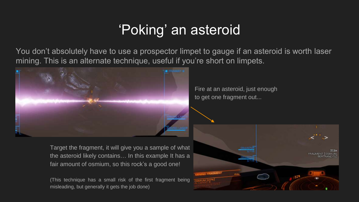## 'Poking' an asteroid

You don't absolutely have to use a prospector limpet to gauge if an asteroid is worth laser mining. This is an alternate technique, useful if you're short on limpets.



Target the fragment, it will give you a sample of what the asteroid likely contains… In this example It has a fair amount of osmium, so this rock's a good one!

(This technique has a small risk of the first fragment being misleading, but generally it gets the job done)

Fire at an asteroid, just enough to get one fragment out...

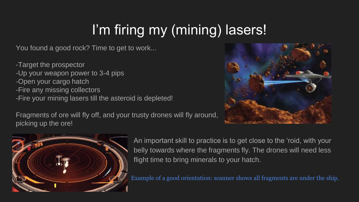# I'm firing my (mining) lasers!

You found a good rock? Time to get to work...

-Target the prospector -Up your weapon power to 3-4 pips -Open your cargo hatch -Fire any missing collectors -Fire your mining lasers till the asteroid is depleted!

Fragments of ore will fly off, and your trusty drones will fly around, picking up the ore!





An important skill to practice is to get close to the 'roid, with your belly towards where the fragments fly. The drones will need less flight time to bring minerals to your hatch.

Example of a good orientation: scanner shows all fragments are under the ship.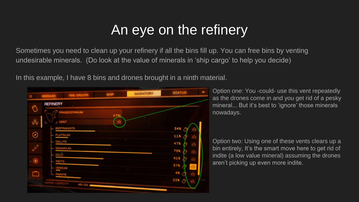#### An eye on the refinery

Sometimes you need to clean up your refinery if all the bins fill up. You can free bins by venting undesirable minerals. (Do look at the value of minerals in 'ship cargo' to help you decide)

In this example, I have 8 bins and drones brought in a ninth material.



Option one: You -could- use this vent repeatedly as the drones come in and you get rid of a pesky mineral... But it's best to 'ignore' those minerals nowadays.

Option two: Using one of these vents clears up a bin entirely, It's the smart move here to get rid of indite (a low value mineral) assuming the drones aren't picking up even more indite.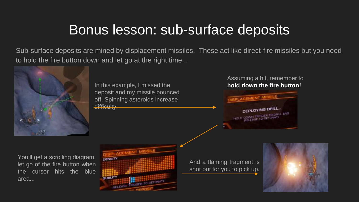#### Bonus lesson: sub-surface deposits

Sub-surface deposits are mined by displacement missiles. These act like direct-fire missiles but you need to hold the fire button down and let go at the right time...



In this example, I missed the deposit and my missile bounced off. Spinning asteroids increase difficulty.

#### Assuming a hit, remember to **hold down the fire button!**



You'll get a scrolling diagram, let go of the fire button when the cursor hits the blue area...



And a flaming fragment is shot out for you to pick up.

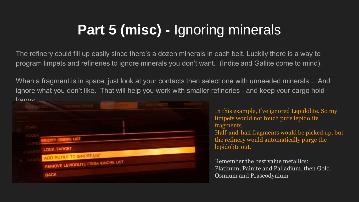## **Part 5 (misc) -** Ignoring minerals

The refinery could fill up easily since there's a dozen minerals in each belt. Luckily there is a way to program limpets and refineries to ignore minerals you don't want. (Indite and Gallite come to mind).

When a fragment is in space, just look at your contacts then select one with unneeded minerals… And ignore what you don't like. That will help you work with smaller refineries - and keep your cargo hold hanny

| <b>CONTRACTACTIVE</b>              |  |  |
|------------------------------------|--|--|
|                                    |  |  |
|                                    |  |  |
| <b>MODIFY IGNORE LIST</b>          |  |  |
| <b>LOCK TARGET</b>                 |  |  |
| ADD RUTILE TO IGNORE LIST          |  |  |
| REMOVE LEPIDOLITE FROM IGNORE LIST |  |  |
| <b>BACK</b>                        |  |  |

In this example, I've ignored Lepidolite. So my limpets would not touch pure lepidolite fragments. Half-and-half fragments would be picked up, but the refinery would automatically purge the lepidolite out.

Remember the best value metallics: Platinum, Painite and Palladium, then Gold, Osmium and Praseodynium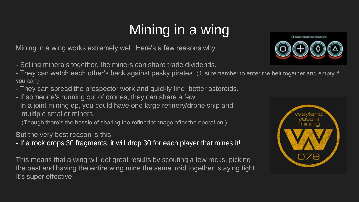# Mining in a wing

Mining in a wing works extremely well. Here's a few reasons why…

- Selling minerals together, the miners can share trade dividends.

- They can watch each other's back against pesky pirates. (Just remember to enter the belt together and empty if you can)

- They can spread the prospector work and quickly find better asteroids.
- If someone's running out of drones, they can share a few.
- In a joint mining op, you could have one large refinery/drone ship and multiple smaller miners.

(Though there's the hassle of sharing the refined tonnage after the operation.)

But the very best reason is this:

- If a rock drops 30 fragments, it will drop 30 for each player that mines it!

This means that a wing will get great results by scouting a few rocks, picking the best and having the entire wing mine the same 'roid together, staying tight. It's super effective!



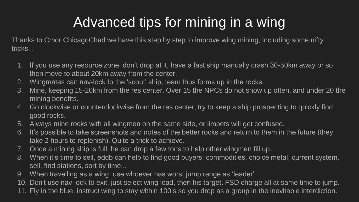## Advanced tips for mining in a wing

Thanks to Cmdr ChicagoChad we have this step by step to improve wing mining, including some nifty tricks...

- 1. If you use any resource zone, don't drop at it, have a fast ship manually crash 30-50km away or so then move to about 20km away from the center.
- 2. Wingmates can nav-lock to the 'scout' ship, team thus forms up in the rocks.
- 3. Mine, keeping 15-20km from the res center. Over 15 the NPCs do not show up often, and under 20 the mining benefits.
- 4. Go clockwise or counterclockwise from the res center, try to keep a ship prospecting to quickly find good rocks.
- 5. Always mine rocks with all wingmen on the same side, or limpets will get confused.
- 6. It's possible to take screenshots and notes of the better rocks and return to them in the future (they take 2 hours to replenish). Quite a trick to achieve.
- 7. Once a mining ship is full, he can drop a few tons to help other wingmen fill up.
- 8. When it's time to sell, eddb can help to find good buyers: commodities, choice metal, current system, sell, find stations, sort by time...
- 9. When travelling as a wing, use whoever has worst jump range as 'leader'.
- 10. Don't use nav-lock to exit, just select wing lead, then his target. FSD charge all at same time to jump.
- 11. Fly in the blue, instruct wing to stay within 100ls so you drop as a group in the inevitable interdiction.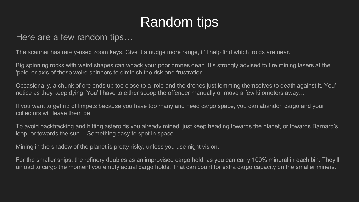## Random tips

#### Here are a few random tips…

The scanner has rarely-used zoom keys. Give it a nudge more range, it'll help find which 'roids are near.

Big spinning rocks with weird shapes can whack your poor drones dead. It's strongly advised to fire mining lasers at the 'pole' or axis of those weird spinners to diminish the risk and frustration.

Occasionally, a chunk of ore ends up too close to a 'roid and the drones just lemming themselves to death against it. You'll notice as they keep dying. You'll have to either scoop the offender manually or move a few kilometers away…

If you want to get rid of limpets because you have too many and need cargo space, you can abandon cargo and your collectors will leave them be…

To avoid backtracking and hitting asteroids you already mined, just keep heading towards the planet, or towards Barnard's loop, or towards the sun… Something easy to spot in space.

Mining in the shadow of the planet is pretty risky, unless you use night vision.

For the smaller ships, the refinery doubles as an improvised cargo hold, as you can carry 100% mineral in each bin. They'll unload to cargo the moment you empty actual cargo holds. That can count for extra cargo capacity on the smaller miners.